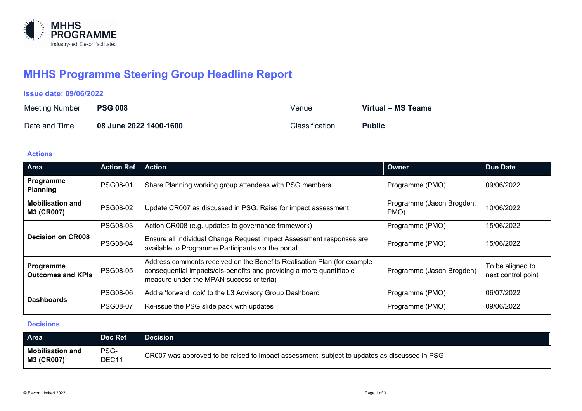

# **MHHS Programme Steering Group Headline Report**

#### **Issue date: 09/06/2022**

| <b>Meeting Number</b> | <b>PSG 008</b>         | Venue          | Virtual – MS Teams |
|-----------------------|------------------------|----------------|--------------------|
| Date and Time         | 08 June 2022 1400-1600 | Classification | <b>Public</b>      |

### **Actions**

| Area                                  | <b>Action Ref</b> | Action                                                                                                                                                                                      | Owner                             | <b>Due Date</b>                        |
|---------------------------------------|-------------------|---------------------------------------------------------------------------------------------------------------------------------------------------------------------------------------------|-----------------------------------|----------------------------------------|
| Programme<br><b>Planning</b>          | PSG08-01          | Share Planning working group attendees with PSG members                                                                                                                                     | Programme (PMO)                   | 09/06/2022                             |
| <b>Mobilisation and</b><br>M3 (CR007) | <b>PSG08-02</b>   | Update CR007 as discussed in PSG. Raise for impact assessment                                                                                                                               | Programme (Jason Brogden,<br>PMO) | 10/06/2022                             |
| <b>Decision on CR008</b>              | <b>PSG08-03</b>   | Action CR008 (e.g. updates to governance framework)                                                                                                                                         | Programme (PMO)                   | 15/06/2022                             |
|                                       | <b>PSG08-04</b>   | Ensure all individual Change Request Impact Assessment responses are<br>available to Programme Participants via the portal                                                                  | Programme (PMO)                   | 15/06/2022                             |
| Programme<br><b>Outcomes and KPIs</b> | <b>PSG08-05</b>   | Address comments received on the Benefits Realisation Plan (for example<br>consequential impacts/dis-benefits and providing a more quantifiable<br>measure under the MPAN success criteria) | Programme (Jason Brogden)         | To be aligned to<br>next control point |
| <b>Dashboards</b>                     | <b>PSG08-06</b>   | Add a 'forward look' to the L3 Advisory Group Dashboard                                                                                                                                     | Programme (PMO)                   | 06/07/2022                             |
|                                       | <b>PSG08-07</b>   | Re-issue the PSG slide pack with updates                                                                                                                                                    | Programme (PMO)                   | 09/06/2022                             |

## **Decisions**

| <b>Area</b>                                  | Dec Ref       | Decision                                                                                     |
|----------------------------------------------|---------------|----------------------------------------------------------------------------------------------|
| <b>Mobilisation and</b><br><b>M3 (CR007)</b> | PSG-<br>DEC11 | CR007 was approved to be raised to impact assessment, subject to updates as discussed in PSG |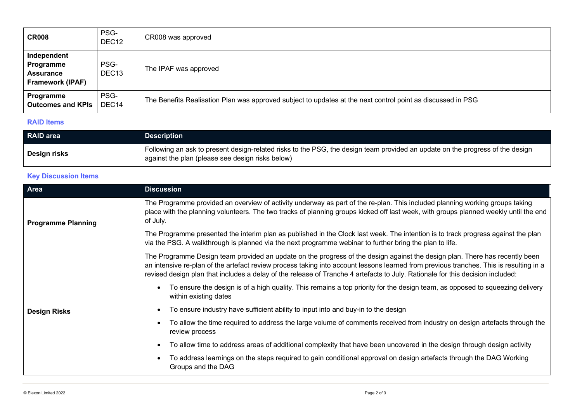| <b>CR008</b>                                                     | PSG-<br>DEC <sub>12</sub> | CR008 was approved                                                                                          |
|------------------------------------------------------------------|---------------------------|-------------------------------------------------------------------------------------------------------------|
| Independent<br>Programme<br><b>Assurance</b><br>Framework (IPAF) | PSG-<br>DEC <sub>13</sub> | The IPAF was approved                                                                                       |
| Programme<br><b>Outcomes and KPIs</b>                            | PSG-<br>DEC <sub>14</sub> | The Benefits Realisation Plan was approved subject to updates at the next control point as discussed in PSG |

#### **RAID Items**

| RAID area    | <b>Description</b>                                                                                                                                                                |
|--------------|-----------------------------------------------------------------------------------------------------------------------------------------------------------------------------------|
| Design risks | Following an ask to present design-related risks to the PSG, the design team provided an update on the progress of the design<br>against the plan (please see design risks below) |

## **Key Discussion Items**

| Area                      | <b>Discussion</b>                                                                                                                                                                                                                                                                                                                                                                                       |
|---------------------------|---------------------------------------------------------------------------------------------------------------------------------------------------------------------------------------------------------------------------------------------------------------------------------------------------------------------------------------------------------------------------------------------------------|
| <b>Programme Planning</b> | The Programme provided an overview of activity underway as part of the re-plan. This included planning working groups taking<br>place with the planning volunteers. The two tracks of planning groups kicked off last week, with groups planned weekly until the end<br>of July.                                                                                                                        |
|                           | The Programme presented the interim plan as published in the Clock last week. The intention is to track progress against the plan<br>via the PSG. A walkthrough is planned via the next programme webinar to further bring the plan to life.                                                                                                                                                            |
|                           | The Programme Design team provided an update on the progress of the design against the design plan. There has recently been<br>an intensive re-plan of the artefact review process taking into account lessons learned from previous tranches. This is resulting in a<br>revised design plan that includes a delay of the release of Tranche 4 artefacts to July. Rationale for this decision included: |
|                           | To ensure the design is of a high quality. This remains a top priority for the design team, as opposed to squeezing delivery<br>within existing dates                                                                                                                                                                                                                                                   |
| <b>Design Risks</b>       | To ensure industry have sufficient ability to input into and buy-in to the design                                                                                                                                                                                                                                                                                                                       |
|                           | To allow the time required to address the large volume of comments received from industry on design artefacts through the<br>review process                                                                                                                                                                                                                                                             |
|                           | To allow time to address areas of additional complexity that have been uncovered in the design through design activity                                                                                                                                                                                                                                                                                  |
|                           | To address learnings on the steps required to gain conditional approval on design artefacts through the DAG Working<br>Groups and the DAG                                                                                                                                                                                                                                                               |